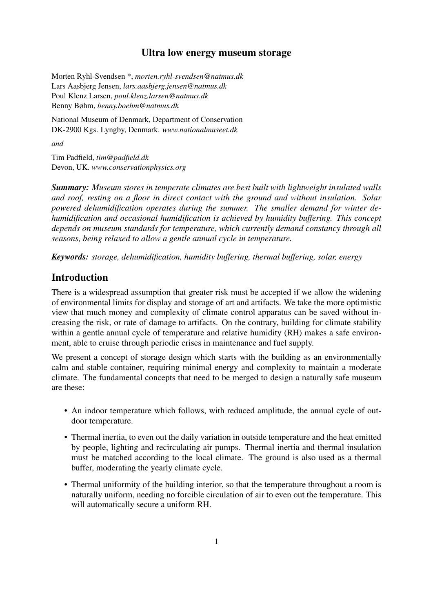## Ultra low energy museum storage

Morten Ryhl-Svendsen \*, *morten.ryhl-svendsen@natmus.dk* Lars Aasbjerg Jensen, *lars.aasbjerg.jensen@natmus.dk* Poul Klenz Larsen, *poul.klenz.larsen@natmus.dk* Benny Bøhm, *benny.boehm@natmus.dk*

National Museum of Denmark, Department of Conservation DK-2900 Kgs. Lyngby, Denmark. *www.nationalmuseet.dk*

*and*

Tim Padfield, *tim@padfield.dk* Devon, UK. *www.conservationphysics.org*

*Summary: Museum stores in temperate climates are best built with lightweight insulated walls and roof, resting on a floor in direct contact with the ground and without insulation. Solar powered dehumidification operates during the summer. The smaller demand for winter dehumidification and occasional humidification is achieved by humidity buffering. This concept depends on museum standards for temperature, which currently demand constancy through all seasons, being relaxed to allow a gentle annual cycle in temperature.*

*Keywords: storage, dehumidification, humidity buffering, thermal buffering, solar, energy*

# **Introduction**

There is a widespread assumption that greater risk must be accepted if we allow the widening of environmental limits for display and storage of art and artifacts. We take the more optimistic view that much money and complexity of climate control apparatus can be saved without increasing the risk, or rate of damage to artifacts. On the contrary, building for climate stability within a gentle annual cycle of temperature and relative humidity (RH) makes a safe environment, able to cruise through periodic crises in maintenance and fuel supply.

We present a concept of storage design which starts with the building as an environmentally calm and stable container, requiring minimal energy and complexity to maintain a moderate climate. The fundamental concepts that need to be merged to design a naturally safe museum are these:

- An indoor temperature which follows, with reduced amplitude, the annual cycle of outdoor temperature.
- Thermal inertia, to even out the daily variation in outside temperature and the heat emitted by people, lighting and recirculating air pumps. Thermal inertia and thermal insulation must be matched according to the local climate. The ground is also used as a thermal buffer, moderating the yearly climate cycle.
- Thermal uniformity of the building interior, so that the temperature throughout a room is naturally uniform, needing no forcible circulation of air to even out the temperature. This will automatically secure a uniform RH.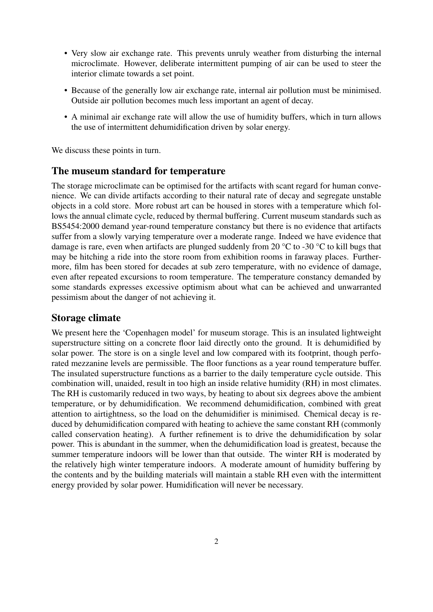- Very slow air exchange rate. This prevents unruly weather from disturbing the internal microclimate. However, deliberate intermittent pumping of air can be used to steer the interior climate towards a set point.
- Because of the generally low air exchange rate, internal air pollution must be minimised. Outside air pollution becomes much less important an agent of decay.
- A minimal air exchange rate will allow the use of humidity buffers, which in turn allows the use of intermittent dehumidification driven by solar energy.

We discuss these points in turn.

### The museum standard for temperature

The storage microclimate can be optimised for the artifacts with scant regard for human convenience. We can divide artifacts according to their natural rate of decay and segregate unstable objects in a cold store. More robust art can be housed in stores with a temperature which follows the annual climate cycle, reduced by thermal buffering. Current museum standards such as BS5454:2000 demand year-round temperature constancy but there is no evidence that artifacts suffer from a slowly varying temperature over a moderate range. Indeed we have evidence that damage is rare, even when artifacts are plunged suddenly from 20 °C to -30 °C to kill bugs that may be hitching a ride into the store room from exhibition rooms in faraway places. Furthermore, film has been stored for decades at sub zero temperature, with no evidence of damage, even after repeated excursions to room temperature. The temperature constancy demanded by some standards expresses excessive optimism about what can be achieved and unwarranted pessimism about the danger of not achieving it.

### Storage climate

We present here the 'Copenhagen model' for museum storage. This is an insulated lightweight superstructure sitting on a concrete floor laid directly onto the ground. It is dehumidified by solar power. The store is on a single level and low compared with its footprint, though perforated mezzanine levels are permissible. The floor functions as a year round temperature buffer. The insulated superstructure functions as a barrier to the daily temperature cycle outside. This combination will, unaided, result in too high an inside relative humidity (RH) in most climates. The RH is customarily reduced in two ways, by heating to about six degrees above the ambient temperature, or by dehumidification. We recommend dehumidification, combined with great attention to airtightness, so the load on the dehumidifier is minimised. Chemical decay is reduced by dehumidification compared with heating to achieve the same constant RH (commonly called conservation heating). A further refinement is to drive the dehumidification by solar power. This is abundant in the summer, when the dehumidification load is greatest, because the summer temperature indoors will be lower than that outside. The winter RH is moderated by the relatively high winter temperature indoors. A moderate amount of humidity buffering by the contents and by the building materials will maintain a stable RH even with the intermittent energy provided by solar power. Humidification will never be necessary.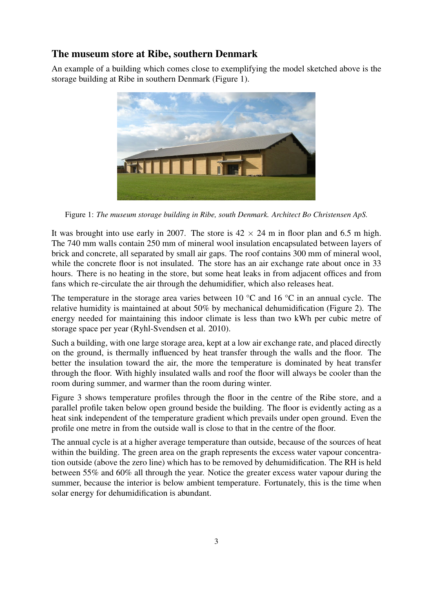# The museum store at Ribe, southern Denmark

An example of a building which comes close to exemplifying the model sketched above is the storage building at Ribe in southern Denmark (Figure 1).



Figure 1: *The museum storage building in Ribe, south Denmark. Architect Bo Christensen ApS.*

It was brought into use early in 2007. The store is  $42 \times 24$  m in floor plan and 6.5 m high. The 740 mm walls contain 250 mm of mineral wool insulation encapsulated between layers of brick and concrete, all separated by small air gaps. The roof contains 300 mm of mineral wool, while the concrete floor is not insulated. The store has an air exchange rate about once in 33 hours. There is no heating in the store, but some heat leaks in from adjacent offices and from fans which re-circulate the air through the dehumidifier, which also releases heat.

The temperature in the storage area varies between 10 °C and 16 °C in an annual cycle. The relative humidity is maintained at about 50% by mechanical dehumidification (Figure 2). The energy needed for maintaining this indoor climate is less than two kWh per cubic metre of storage space per year (Ryhl-Svendsen et al. 2010).

Such a building, with one large storage area, kept at a low air exchange rate, and placed directly on the ground, is thermally influenced by heat transfer through the walls and the floor. The better the insulation toward the air, the more the temperature is dominated by heat transfer through the floor. With highly insulated walls and roof the floor will always be cooler than the room during summer, and warmer than the room during winter.

Figure 3 shows temperature profiles through the floor in the centre of the Ribe store, and a parallel profile taken below open ground beside the building. The floor is evidently acting as a heat sink independent of the temperature gradient which prevails under open ground. Even the profile one metre in from the outside wall is close to that in the centre of the floor.

The annual cycle is at a higher average temperature than outside, because of the sources of heat within the building. The green area on the graph represents the excess water vapour concentration outside (above the zero line) which has to be removed by dehumidification. The RH is held between 55% and 60% all through the year. Notice the greater excess water vapour during the summer, because the interior is below ambient temperature. Fortunately, this is the time when solar energy for dehumidification is abundant.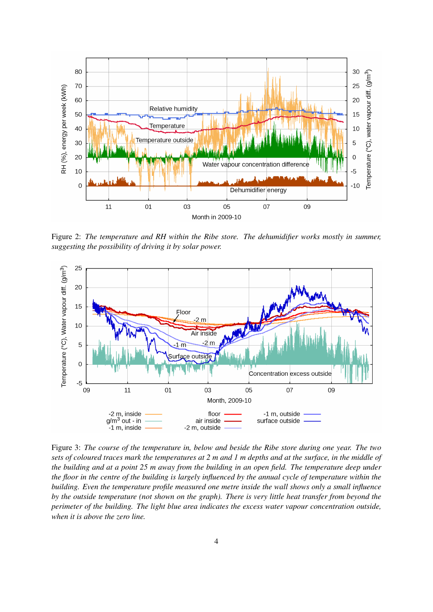

Figure 2: *The temperature and RH within the Ribe store. The dehumidifier works mostly in summer, suggesting the possibility of driving it by solar power.*



Figure 3: *The course of the temperature in, below and beside the Ribe store during one year. The two sets of coloured traces mark the temperatures at 2 m and 1 m depths and at the surface, in the middle of the building and at a point 25 m away from the building in an open field. The temperature deep under the floor in the centre of the building is largely influenced by the annual cycle of temperature within the building. Even the temperature profile measured one metre inside the wall shows only a small influence by the outside temperature (not shown on the graph). There is very little heat transfer from beyond the perimeter of the building. The light blue area indicates the excess water vapour concentration outside, when it is above the zero line.*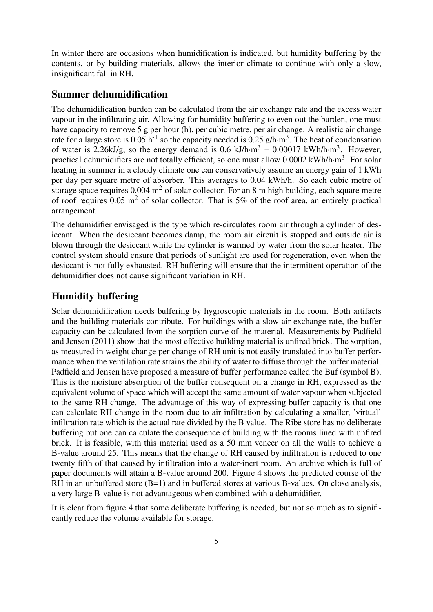In winter there are occasions when humidification is indicated, but humidity buffering by the contents, or by building materials, allows the interior climate to continue with only a slow, insignificant fall in RH.

### Summer dehumidification

The dehumidification burden can be calculated from the air exchange rate and the excess water vapour in the infiltrating air. Allowing for humidity buffering to even out the burden, one must have capacity to remove 5 g per hour (h), per cubic metre, per air change. A realistic air change rate for a large store is 0.05 h<sup>-1</sup> so the capacity needed is 0.25 g/h·m<sup>3</sup>. The heat of condensation of water is 2.26kJ/g, so the energy demand is 0.6 kJ/h·m<sup>3</sup> = 0.00017 kWh/h·m<sup>3</sup>. However, practical dehumidifiers are not totally efficient, so one must allow 0.0002 kWh/h·m<sup>3</sup>. For solar heating in summer in a cloudy climate one can conservatively assume an energy gain of 1 kWh per day per square metre of absorber. This averages to 0.04 kWh/h. So each cubic metre of storage space requires  $0.004 \text{ m}^2$  of solar collector. For an 8 m high building, each square metre of roof requires  $0.05 \text{ m}^2$  of solar collector. That is 5% of the roof area, an entirely practical arrangement.

The dehumidifier envisaged is the type which re-circulates room air through a cylinder of desiccant. When the desiccant becomes damp, the room air circuit is stopped and outside air is blown through the desiccant while the cylinder is warmed by water from the solar heater. The control system should ensure that periods of sunlight are used for regeneration, even when the desiccant is not fully exhausted. RH buffering will ensure that the intermittent operation of the dehumidifier does not cause significant variation in RH.

## Humidity buffering

Solar dehumidification needs buffering by hygroscopic materials in the room. Both artifacts and the building materials contribute. For buildings with a slow air exchange rate, the buffer capacity can be calculated from the sorption curve of the material. Measurements by Padfield and Jensen (2011) show that the most effective building material is unfired brick. The sorption, as measured in weight change per change of RH unit is not easily translated into buffer performance when the ventilation rate strains the ability of water to diffuse through the buffer material. Padfield and Jensen have proposed a measure of buffer performance called the Buf (symbol B). This is the moisture absorption of the buffer consequent on a change in RH, expressed as the equivalent volume of space which will accept the same amount of water vapour when subjected to the same RH change. The advantage of this way of expressing buffer capacity is that one can calculate RH change in the room due to air infiltration by calculating a smaller, 'virtual' infiltration rate which is the actual rate divided by the B value. The Ribe store has no deliberate buffering but one can calculate the consequence of building with the rooms lined with unfired brick. It is feasible, with this material used as a 50 mm veneer on all the walls to achieve a B-value around 25. This means that the change of RH caused by infiltration is reduced to one twenty fifth of that caused by infiltration into a water-inert room. An archive which is full of paper documents will attain a B-value around 200. Figure 4 shows the predicted course of the RH in an unbuffered store  $(B=1)$  and in buffered stores at various B-values. On close analysis, a very large B-value is not advantageous when combined with a dehumidifier.

It is clear from figure 4 that some deliberate buffering is needed, but not so much as to significantly reduce the volume available for storage.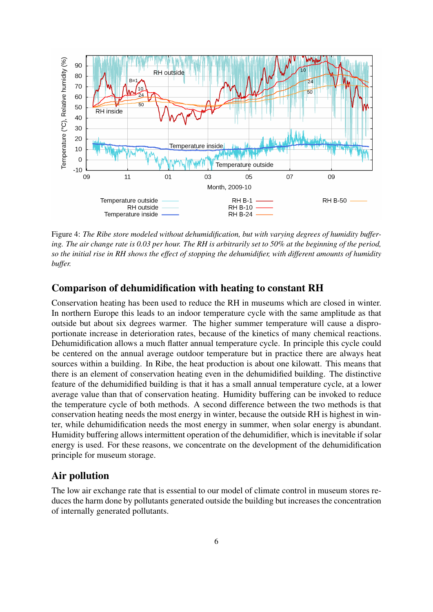

Figure 4: *The Ribe store modeled without dehumidification, but with varying degrees of humidity buffering. The air change rate is 0.03 per hour. The RH is arbitrarily set to 50% at the beginning of the period, so the initial rise in RH shows the effect of stopping the dehumidifier, with different amounts of humidity buffer.*

## Comparison of dehumidification with heating to constant RH

Conservation heating has been used to reduce the RH in museums which are closed in winter. In northern Europe this leads to an indoor temperature cycle with the same amplitude as that outside but about six degrees warmer. The higher summer temperature will cause a disproportionate increase in deterioration rates, because of the kinetics of many chemical reactions. Dehumidification allows a much flatter annual temperature cycle. In principle this cycle could be centered on the annual average outdoor temperature but in practice there are always heat sources within a building. In Ribe, the heat production is about one kilowatt. This means that there is an element of conservation heating even in the dehumidified building. The distinctive feature of the dehumidified building is that it has a small annual temperature cycle, at a lower average value than that of conservation heating. Humidity buffering can be invoked to reduce the temperature cycle of both methods. A second difference between the two methods is that conservation heating needs the most energy in winter, because the outside RH is highest in winter, while dehumidification needs the most energy in summer, when solar energy is abundant. Humidity buffering allows intermittent operation of the dehumidifier, which is inevitable if solar energy is used. For these reasons, we concentrate on the development of the dehumidification principle for museum storage.

#### Air pollution

The low air exchange rate that is essential to our model of climate control in museum stores reduces the harm done by pollutants generated outside the building but increases the concentration of internally generated pollutants.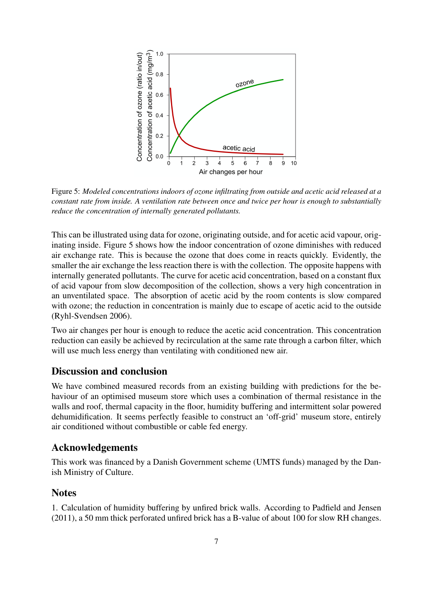

Figure 5: *Modeled concentrations indoors of ozone infiltrating from outside and acetic acid released at a constant rate from inside. A ventilation rate between once and twice per hour is enough to substantially reduce the concentration of internally generated pollutants.*

This can be illustrated using data for ozone, originating outside, and for acetic acid vapour, originating inside. Figure 5 shows how the indoor concentration of ozone diminishes with reduced air exchange rate. This is because the ozone that does come in reacts quickly. Evidently, the smaller the air exchange the less reaction there is with the collection. The opposite happens with internally generated pollutants. The curve for acetic acid concentration, based on a constant flux of acid vapour from slow decomposition of the collection, shows a very high concentration in an unventilated space. The absorption of acetic acid by the room contents is slow compared with ozone; the reduction in concentration is mainly due to escape of acetic acid to the outside (Ryhl-Svendsen 2006).

Two air changes per hour is enough to reduce the acetic acid concentration. This concentration reduction can easily be achieved by recirculation at the same rate through a carbon filter, which will use much less energy than ventilating with conditioned new air.

## Discussion and conclusion

We have combined measured records from an existing building with predictions for the behaviour of an optimised museum store which uses a combination of thermal resistance in the walls and roof, thermal capacity in the floor, humidity buffering and intermittent solar powered dehumidification. It seems perfectly feasible to construct an 'off-grid' museum store, entirely air conditioned without combustible or cable fed energy.

### Acknowledgements

This work was financed by a Danish Government scheme (UMTS funds) managed by the Danish Ministry of Culture.

#### **Notes**

1. Calculation of humidity buffering by unfired brick walls. According to Padfield and Jensen (2011), a 50 mm thick perforated unfired brick has a B-value of about 100 for slow RH changes.